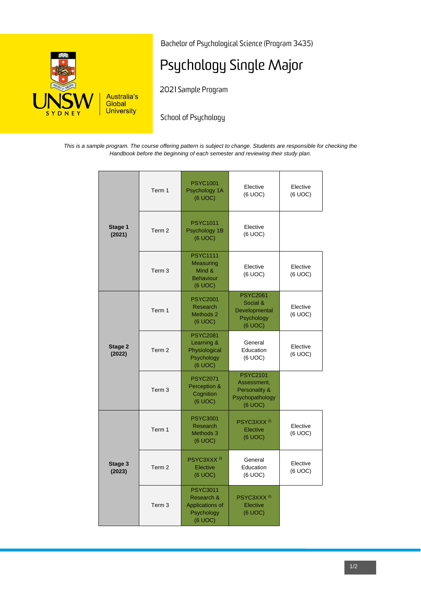

Bachelor of Psychological Science (Program 3435)

# Psychology Single Major

2021 Sample Program

School of Psychology

*This is a sample program. The course offering pattern is subject to change. Students are responsible for checking the Handbook before the beginning of each semester and reviewing their study plan.*

|                   | Term 1            | <b>PSYC1001</b><br>Psychology 1A<br>(6 UOC)                               | Elective<br>(6 UOC)                                                           | Elective<br>(6 UOC) |
|-------------------|-------------------|---------------------------------------------------------------------------|-------------------------------------------------------------------------------|---------------------|
| Stage 1<br>(2021) | Term <sub>2</sub> | <b>PSYC1011</b><br>Psychology 1B<br>(6 UOC)                               | Elective<br>(6 UOC)                                                           |                     |
|                   | Term <sub>3</sub> | <b>PSYC1111</b><br>Measuring<br>Mind &<br><b>Behaviour</b><br>(6 UOC)     | Elective<br>(6 UOC)                                                           | Elective<br>(6 UOC) |
| Stage 2<br>(2022) | Term 1            | <b>PSYC2001</b><br><b>Research</b><br>Methods 2<br>(6 UOC)                | <b>PSYC2061</b><br>Social &<br>Developmental<br>Psychology<br>(6 UOC)         | Elective<br>(6 UOC) |
|                   | Term <sub>2</sub> | <b>PSYC2081</b><br>Learning &<br>Physiological<br>Psychology<br>(6 UOC)   | General<br>Education<br>(6 UOC)                                               | Elective<br>(6 UOC) |
|                   | Term <sub>3</sub> | <b>PSYC2071</b><br>Perception &<br>Cognition<br>(6 UOC)                   | <b>PSYC2101</b><br>Assessment,<br>Personality &<br>Psychopathology<br>(6 UOC) |                     |
| Stage 3<br>(2023) | Term 1            | <b>PSYC3001</b><br>Research<br>Methods 3<br>(6 UOC)                       | PSYC3XXX <sup>(i)</sup><br>Elective<br>(6 UOC)                                | Elective<br>(6 UOC) |
|                   | Term <sub>2</sub> | PSYC3XXX <sup>(i)</sup><br>Elective<br>(6 UOC)                            | General<br>Education<br>(6 UOC)                                               | Elective<br>(6 UOC) |
|                   | Term <sub>3</sub> | <b>PSYC3011</b><br>Research &<br>Applications of<br>Psychology<br>(6 UOC) | PSYC3XXX <sup>(i)</sup><br>Elective<br>(6 UOC)                                |                     |